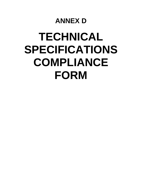## **ANNEX D**

## **TECHNICAL SPECIFICATIONS COMPLIANCE FORM**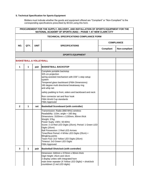## **5. Technical Specification for Sports Equipment**

Bidders must indicate whether the goods and equipment offered are "Compliant" or "Non-Compliant" to the corresponding specifications prescribed by BCDA using this form.

| PROCUREMENT FOR THE SUPPLY, DELIVERY, AND INSTALLATION OF SPORTS EQUIPMENT FOR THE<br>NATIONAL ACADEMY OF SPORTS (NAS) - PHASE 1 AT NEW CLARK CITY |              |             |                                                                                                                                                                                                                                                                                                                                                                                                                                                                 |                   |               |
|----------------------------------------------------------------------------------------------------------------------------------------------------|--------------|-------------|-----------------------------------------------------------------------------------------------------------------------------------------------------------------------------------------------------------------------------------------------------------------------------------------------------------------------------------------------------------------------------------------------------------------------------------------------------------------|-------------------|---------------|
| <b>TECHNICAL SPECIFICATIONS COMPLIANCE FORM</b>                                                                                                    |              |             |                                                                                                                                                                                                                                                                                                                                                                                                                                                                 |                   |               |
| NO.                                                                                                                                                | QTY.         | <b>UNIT</b> | <b>SPECIFICATIONS</b>                                                                                                                                                                                                                                                                                                                                                                                                                                           | <b>COMPLIANCE</b> |               |
|                                                                                                                                                    |              |             |                                                                                                                                                                                                                                                                                                                                                                                                                                                                 | Compliant         | Non-compliant |
|                                                                                                                                                    |              |             | <b>SPORTS EQUIPMENT</b>                                                                                                                                                                                                                                                                                                                                                                                                                                         |                   |               |
| <b>BASKETBALL &amp; VOLLEYBALL</b>                                                                                                                 |              |             |                                                                                                                                                                                                                                                                                                                                                                                                                                                                 |                   |               |
| 1                                                                                                                                                  | $\mathbf 1$  | pair        | <b>BASKETBALL BACKSTOP</b>                                                                                                                                                                                                                                                                                                                                                                                                                                      |                   |               |
|                                                                                                                                                    |              |             | Complete portable backstop<br>325 cm projection<br>spring assisted mechanism with DSF 1-step setup<br>system<br>Tempered glass backboard (FIBA Dimensions)<br>180 degree multi directional breakaway ring<br>anti-whip net                                                                                                                                                                                                                                      |                   |               |
|                                                                                                                                                    |              |             | safety padding to front, siders and backboard and neck                                                                                                                                                                                                                                                                                                                                                                                                          |                   |               |
|                                                                                                                                                    |              |             | floor connector set and floor hook<br>FIBA World Cup standards<br><b>FIBA Approved</b>                                                                                                                                                                                                                                                                                                                                                                          |                   |               |
| $\mathbf{2}$                                                                                                                                       | 1            | set         | <b>Basketball Scoreboard (with controller)</b>                                                                                                                                                                                                                                                                                                                                                                                                                  |                   |               |
|                                                                                                                                                    |              |             | Transmission: Radio (868 MHz) wireless<br>Readability: 110m, angle > 160 deg<br>Dimensions: 3100mm x 1150mm, 90mm thick<br>Weight: 57kg<br>Power Suply: 230V, 50-60Hz<br>Score: 2 x3 Red LED Digits (25cm); Period: 1 Green LED<br>Digits (20cm)<br>Ball Possession: 2 Red LED Arrows<br>Timer/Rest Period: 4 White LED Digits (25cm) +<br><b>Blingking points</b><br>Team Foul: 2x3 Yellow LED Digits (20cm)<br>Timeout: 2x3 Green LED Digits<br>FIBA Approved |                   |               |
| 3                                                                                                                                                  | $\mathbf{1}$ | pair        | <b>Basketball Shotclock (with controller)</b>                                                                                                                                                                                                                                                                                                                                                                                                                   |                   |               |
|                                                                                                                                                    |              |             | Dimension: 840mm x 570mm x 90mm thick<br>Digit Height: 25cm and 16cm<br>2 display unites with integrated horn<br>main timer repeater (4 Yellow LED Digits) + shotclock<br>countdown (2 red LED digits)                                                                                                                                                                                                                                                          |                   |               |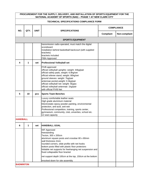| PROCUREMENT FOR THE SUPPLY, DELIVERY, AND INSTALLATION OF SPORTS EQUIPMENT FOR THE<br>NATIONAL ACADEMY OF SPORTS (NAS) - PHASE 1 AT NEW CLARK CITY |      |             |                                                                                                                                                                                                                                                                                                                                                                                                                                    |                   |               |
|----------------------------------------------------------------------------------------------------------------------------------------------------|------|-------------|------------------------------------------------------------------------------------------------------------------------------------------------------------------------------------------------------------------------------------------------------------------------------------------------------------------------------------------------------------------------------------------------------------------------------------|-------------------|---------------|
| <b>TECHNICAL SPECIFICATIONS COMPLIANCE FORM</b>                                                                                                    |      |             |                                                                                                                                                                                                                                                                                                                                                                                                                                    |                   |               |
| NO.                                                                                                                                                | QTY. | <b>UNIT</b> | <b>SPECIFICATIONS</b>                                                                                                                                                                                                                                                                                                                                                                                                              | <b>COMPLIANCE</b> |               |
|                                                                                                                                                    |      |             |                                                                                                                                                                                                                                                                                                                                                                                                                                    | <b>Compliant</b>  | Non-compliant |
|                                                                                                                                                    |      |             | <b>SPORTS EQUIPMENT</b>                                                                                                                                                                                                                                                                                                                                                                                                            |                   |               |
|                                                                                                                                                    |      |             | transmission radio-operated, must match the digital<br>scoreboard<br>installation behind basketball backcourt (with supplied<br>brackets)<br>brackets included<br><b>FIBA Approved</b>                                                                                                                                                                                                                                             |                   |               |
| 4                                                                                                                                                  | 1    | set         | <b>Professional Volleyball set</b>                                                                                                                                                                                                                                                                                                                                                                                                 |                   |               |
|                                                                                                                                                    |      |             | FIVB approved<br>official volleyball uprights: weight: 44kg/pair<br>official safety pads, weight: 6.8kg/set<br>official referee stand, weight: 80kg/set<br>ground sleeves: weight: 7kg/pair<br>antennae pocket, weight: 0.3kg/pair<br>official volleyball net: weight: 5kg/pc<br>official volleyball antennae: 1kg/pair<br>with official FIVB Net                                                                                  |                   |               |
| 5                                                                                                                                                  | 10   | pcs         | <b>Sports Team Benches</b>                                                                                                                                                                                                                                                                                                                                                                                                         |                   |               |
|                                                                                                                                                    |      |             | Luxury comfortable leather seats<br>High grade aluminium material<br>Electrostatic epoxy powder painting, environmental<br>protection, anti-acid, anti-wet<br>Professional competition, training, sports center,<br>gymnasium, community, club, univerties, school etc.<br>12 seat capacity                                                                                                                                        |                   |               |
| <b>HANDBALL</b>                                                                                                                                    |      |             |                                                                                                                                                                                                                                                                                                                                                                                                                                    |                   |               |
| 6                                                                                                                                                  | 1    | set         | <b>HANDBALL GOAL</b>                                                                                                                                                                                                                                                                                                                                                                                                               |                   |               |
|                                                                                                                                                    |      |             | <b>IHF Approved</b><br>freestanding<br>Tecton, 300 x 200cm<br>aluminum square posts and crossbar 80 x 80mm<br>wall thickness 2mm<br>rounded corners, slide profile with net hooks<br>bottom posts filled with plastic floor protectors<br>foldable net supports for freehanging net suspension and<br>fixed collapsable floor bracket<br>net support depth 100cm at the top, 150cm at the bottom<br>knocked down for site assembly |                   |               |
| <b>BADMINTON</b>                                                                                                                                   |      |             |                                                                                                                                                                                                                                                                                                                                                                                                                                    |                   |               |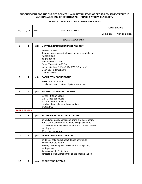| PROCUREMENT FOR THE SUPPLY, DELIVERY, AND INSTALLATION OF SPORTS EQUIPMENT FOR THE<br>NATIONAL ACADEMY OF SPORTS (NAS) - PHASE 1 AT NEW CLARK CITY |                         |             |                                                                                                                                                                                                                                                                |                   |               |  |  |
|----------------------------------------------------------------------------------------------------------------------------------------------------|-------------------------|-------------|----------------------------------------------------------------------------------------------------------------------------------------------------------------------------------------------------------------------------------------------------------------|-------------------|---------------|--|--|
| <b>TECHNICAL SPECIFICATIONS COMPLIANCE FORM</b>                                                                                                    |                         |             |                                                                                                                                                                                                                                                                |                   |               |  |  |
| NO.                                                                                                                                                | QTY.                    | <b>UNIT</b> | <b>SPECIFICATIONS</b>                                                                                                                                                                                                                                          | <b>COMPLIANCE</b> |               |  |  |
|                                                                                                                                                    |                         |             |                                                                                                                                                                                                                                                                | Compliant         | Non-compliant |  |  |
|                                                                                                                                                    | <b>SPORTS EQUIPMENT</b> |             |                                                                                                                                                                                                                                                                |                   |               |  |  |
| 7                                                                                                                                                  | 4                       | sets        |                                                                                                                                                                                                                                                                |                   |               |  |  |
|                                                                                                                                                    |                         |             | <b>BWF Approved</b><br>the post is seemless steel pipe, the base is solid steel<br>weight: 180kg<br>height: 155cm<br>Post diameter: 4.2cm<br>Base: 53cmx33cmx20.5cm<br>Net spcification: 6.10mx0.76m(BWF Standard)<br>Mesh size: 1.8cmx1.8cm<br>Material:Nylon |                   |               |  |  |
| 8                                                                                                                                                  | 4                       | sets        | <b>BADMINTON SCOREBOARD</b>                                                                                                                                                                                                                                    |                   |               |  |  |
|                                                                                                                                                    |                         |             | WXH - 600x2000 mm<br>consists of base, post and flip type score card                                                                                                                                                                                           |                   |               |  |  |
| 9                                                                                                                                                  | 1                       | pcs         | <b>BADMINTON FEEDER TRAINER</b>                                                                                                                                                                                                                                |                   |               |  |  |
|                                                                                                                                                    |                         |             | 10mph - 90mph speed<br>1.2 - 1.4sec per shuttle<br>200 shuttlecock capacity<br>capable of multiple badminton strokes<br>58x53x49cm                                                                                                                             |                   |               |  |  |
| <b>TABLE TENNIS</b>                                                                                                                                |                         |             |                                                                                                                                                                                                                                                                |                   |               |  |  |
| 10                                                                                                                                                 | 6                       | pcs         | <b>SCOREBOARD FOR TABLE TENNIS</b>                                                                                                                                                                                                                             |                   |               |  |  |
|                                                                                                                                                    |                         |             | bench type, mainly consists of frame and scoreboard.<br>frame of the scoreboard us made with plastic parts.<br>scorekeeper is made with dark blue PVC board, divided<br>into 2 groups<br>52 pcs for each group                                                 |                   |               |  |  |
| 11                                                                                                                                                 | 3                       | pcs         | <b>TABLE TENNIS BALL FEEDER</b>                                                                                                                                                                                                                                |                   |               |  |  |
|                                                                                                                                                    |                         |             | holds 100 balls and shoots 90 balls per minute<br>wireless remote control<br>memory, frequency +/-, oscillation +/-, topspin +/-,<br>backspin +/-<br>dimensions 19 x 11 inches<br>compatible with all standard size table tennis tables                        |                   |               |  |  |
| 12                                                                                                                                                 | 6                       | pcs         | <b>TABLE TENNIS TABLE</b>                                                                                                                                                                                                                                      |                   |               |  |  |